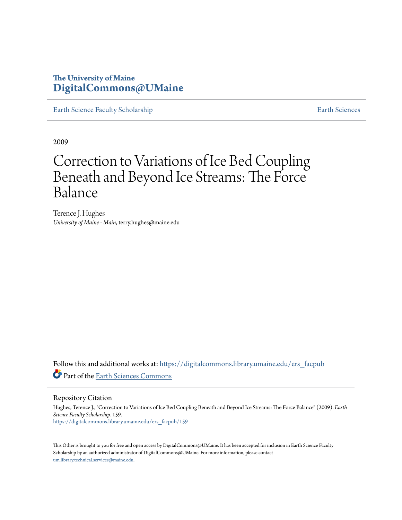## **The University of Maine [DigitalCommons@UMaine](https://digitalcommons.library.umaine.edu?utm_source=digitalcommons.library.umaine.edu%2Fers_facpub%2F159&utm_medium=PDF&utm_campaign=PDFCoverPages)**

[Earth Science Faculty Scholarship](https://digitalcommons.library.umaine.edu/ers_facpub?utm_source=digitalcommons.library.umaine.edu%2Fers_facpub%2F159&utm_medium=PDF&utm_campaign=PDFCoverPages) **[Earth Sciences](https://digitalcommons.library.umaine.edu/ers?utm_source=digitalcommons.library.umaine.edu%2Fers_facpub%2F159&utm_medium=PDF&utm_campaign=PDFCoverPages)** 

2009

## Correction to Variations of Ice Bed Coupling Beneath and Beyond Ice Streams: The Force Balance

Terence J. Hughes *University of Maine - Main*, terry.hughes@maine.edu

Follow this and additional works at: [https://digitalcommons.library.umaine.edu/ers\\_facpub](https://digitalcommons.library.umaine.edu/ers_facpub?utm_source=digitalcommons.library.umaine.edu%2Fers_facpub%2F159&utm_medium=PDF&utm_campaign=PDFCoverPages) Part of the [Earth Sciences Commons](http://network.bepress.com/hgg/discipline/153?utm_source=digitalcommons.library.umaine.edu%2Fers_facpub%2F159&utm_medium=PDF&utm_campaign=PDFCoverPages)

Repository Citation

Hughes, Terence J., "Correction to Variations of Ice Bed Coupling Beneath and Beyond Ice Streams: The Force Balance" (2009). *Earth Science Faculty Scholarship*. 159. [https://digitalcommons.library.umaine.edu/ers\\_facpub/159](https://digitalcommons.library.umaine.edu/ers_facpub/159?utm_source=digitalcommons.library.umaine.edu%2Fers_facpub%2F159&utm_medium=PDF&utm_campaign=PDFCoverPages)

This Other is brought to you for free and open access by DigitalCommons@UMaine. It has been accepted for inclusion in Earth Science Faculty Scholarship by an authorized administrator of DigitalCommons@UMaine. For more information, please contact [um.library.technical.services@maine.edu](mailto:um.library.technical.services@maine.edu).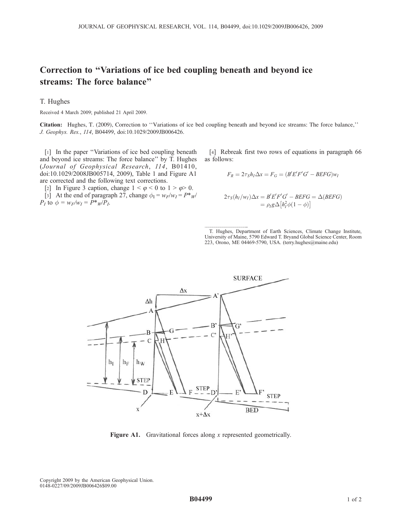## Correction to ''Variations of ice bed coupling beneath and beyond ice streams: The force balance''

T. Hughes

Received 4 March 2009; published 21 April 2009.

Citation: Hughes, T. (2009), Correction to ''Variations of ice bed coupling beneath and beyond ice streams: The force balance,'' J. Geophys. Res., 114, B04499, doi:10.1029/2009JB006426.

[1] In the paper "Variations of ice bed coupling beneath and beyond ice streams: The force balance'' by T. Hughes (Journal of Geophysical Research, 114, B01410, doi:10.1029/2008JB005714, 2009), Table 1 and Figure A1 are corrected and the following text corrections.

[2] In Figure 3 caption, change  $1 < \varphi < 0$  to  $1 > \varphi > 0$ . [3] At the end of paragraph 27, change  $\phi_I = w_F/w_I = P^*w$  $P_I$  to  $\phi = w_F/w_I = P^*_{W}P_I$ .

[4] Rebreak first two rows of equations in paragraph 66 as follows:

$$
F_R = 2\tau_S h_I \Delta x = F_G = (B'E'F'G' - BEFG)w_I
$$

$$
2\tau_S(h_I/w_I)\Delta x = B'E'F'G' - BEFG = \Delta(BEFG)
$$
  
=  $\rho_I g \Delta[h_I^2 \phi(1 - \phi)]$ 

 T. Hughes, Department of Earth Sciences, Climate Change Institute, University of Maine, 5790 Edward T. Bryand Global Science Center, Room 223, Orono, ME 04469-5790, USA. (terry.hughes@maine.edu)



Figure A1. Gravitational forces along x represented geometrically.

Copyright 2009 by the American Geophysical Union. 0148-0227/09/2009JB006426\$09.00